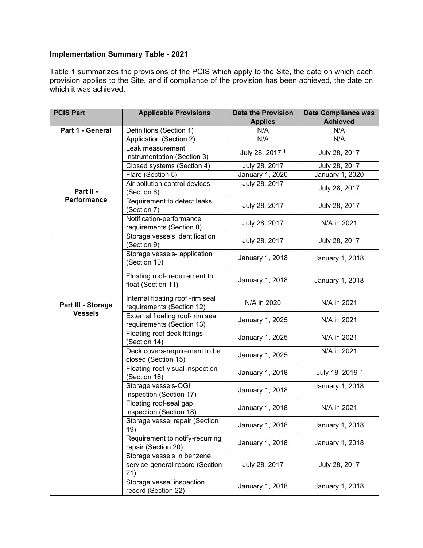Table 1 summarizes the provisions of the PCIS which apply to the Site, the date on which each provision applies to the Site, and if compliance of the provision has been achieved, the date on which it was achieved.

| <b>PCIS Part</b>   | <b>Applicable Provisions</b>                                         | <b>Date the Provision</b>  | <b>Date Compliance was</b> |
|--------------------|----------------------------------------------------------------------|----------------------------|----------------------------|
|                    |                                                                      | <b>Applies</b>             | <b>Achieved</b>            |
| Part 1 - General   | Definitions (Section 1)                                              | N/A                        | N/A                        |
|                    | Application (Section 2)                                              | N/A                        | N/A                        |
|                    | Leak measurement                                                     | July 28, 2017 <sup>1</sup> | July 28, 2017              |
|                    | instrumentation (Section 3)                                          |                            |                            |
|                    | Closed systems (Section 4)                                           | July 28, 2017              | July 28, 2017              |
|                    | Flare (Section 5)                                                    | January 1, 2020            | January 1, 2020            |
| Part II -          | Air pollution control devices                                        | July 28, 2017              | July 28, 2017              |
| Performance        | (Section 6)                                                          |                            |                            |
|                    | Requirement to detect leaks<br>(Section 7)                           | July 28, 2017              | July 28, 2017              |
|                    | Notification-performance<br>requirements (Section 8)                 | July 28, 2017              | N/A in 2021                |
|                    | Storage vessels identification<br>(Section 9)                        | July 28, 2017              | July 28, 2017              |
|                    | Storage vessels- application<br>(Section 10)                         | January 1, 2018            | January 1, 2018            |
|                    | Floating roof- requirement to<br>float (Section 11)                  | January 1, 2018            | January 1, 2018            |
| Part III - Storage | Internal floating roof -rim seal<br>requirements (Section 12)        | N/A in 2020                | N/A in 2021                |
| <b>Vessels</b>     | External floating roof- rim seal<br>requirements (Section 13)        | January 1, 2025            | N/A in 2021                |
|                    | Floating roof deck fittings<br>(Section 14)                          | January 1, 2025            | N/A in 2021                |
|                    | Deck covers-requirement to be<br>closed (Section 15)                 | January 1, 2025            | N/A in 2021                |
|                    | Floating roof-visual inspection<br>(Section 16)                      | January 1, 2018            | July 18, 2019 <sup>2</sup> |
|                    | Storage vessels-OGI<br>inspection (Section 17)                       | January 1, 2018            | January 1, 2018            |
|                    | Floating roof-seal gap<br>inspection (Section 18)                    | January 1, 2018            | N/A in 2021                |
|                    | Storage vessel repair (Section<br>19)                                | January 1, 2018            | January 1, 2018            |
|                    | Requirement to notify-recurring<br>repair (Section 20)               | January 1, 2018            | January 1, 2018            |
|                    | Storage vessels in benzene<br>service-general record (Section<br>21) | July 28, 2017              | July 28, 2017              |
|                    | Storage vessel inspection<br>record (Section 22)                     | January 1, 2018            | January 1, 2018            |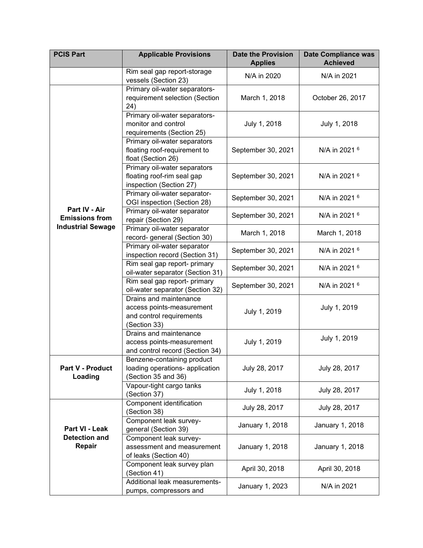| <b>PCIS Part</b>                                 | <b>Applicable Provisions</b>                                                                    | <b>Date the Provision</b><br><b>Applies</b> | <b>Date Compliance was</b><br><b>Achieved</b> |
|--------------------------------------------------|-------------------------------------------------------------------------------------------------|---------------------------------------------|-----------------------------------------------|
|                                                  | Rim seal gap report-storage<br>vessels (Section 23)                                             | N/A in 2020                                 | N/A in 2021                                   |
|                                                  | Primary oil-water separators-<br>requirement selection (Section<br>24)                          | March 1, 2018                               | October 26, 2017                              |
|                                                  | Primary oil-water separators-<br>monitor and control<br>requirements (Section 25)               | July 1, 2018                                | July 1, 2018                                  |
|                                                  | Primary oil-water separators<br>floating roof-requirement to<br>float (Section 26)              | September 30, 2021                          | N/A in 2021 6                                 |
|                                                  | Primary oil-water separators<br>floating roof-rim seal gap<br>inspection (Section 27)           | September 30, 2021                          | N/A in 2021 6                                 |
|                                                  | Primary oil-water separator-<br>OGI inspection (Section 28)                                     | September 30, 2021                          | N/A in 2021 6                                 |
| Part IV - Air<br><b>Emissions from</b>           | Primary oil-water separator<br>repair (Section 29)                                              | September 30, 2021                          | N/A in 2021 6                                 |
| <b>Industrial Sewage</b>                         | Primary oil-water separator<br>record- general (Section 30)                                     | March 1, 2018                               | March 1, 2018                                 |
|                                                  | Primary oil-water separator<br>inspection record (Section 31)                                   | September 30, 2021                          | N/A in 2021 6                                 |
|                                                  | Rim seal gap report- primary<br>oil-water separator (Section 31)                                | September 30, 2021                          | N/A in 2021 6                                 |
|                                                  | Rim seal gap report- primary<br>oil-water separator (Section 32)                                | September 30, 2021                          | N/A in 2021 <sup>6</sup>                      |
|                                                  | Drains and maintenance<br>access points-measurement<br>and control requirements<br>(Section 33) | July 1, 2019                                | July 1, 2019                                  |
|                                                  | Drains and maintenance<br>access points-measurement<br>and control record (Section 34)          | July 1, 2019                                | July 1, 2019                                  |
| <b>Part V - Product</b><br>Loading               | Benzene-containing product<br>loading operations- application<br>(Section 35 and 36)            | July 28, 2017                               | July 28, 2017                                 |
|                                                  | Vapour-tight cargo tanks<br>(Section 37)                                                        | July 1, 2018                                | July 28, 2017                                 |
|                                                  | Component identification<br>(Section 38)                                                        | July 28, 2017                               | July 28, 2017                                 |
| Part VI - Leak<br><b>Detection and</b><br>Repair | Component leak survey-<br>general (Section 39)                                                  | January 1, 2018                             | January 1, 2018                               |
|                                                  | Component leak survey-<br>assessment and measurement<br>of leaks (Section 40)                   | January 1, 2018                             | January 1, 2018                               |
|                                                  | Component leak survey plan<br>(Section 41)                                                      | April 30, 2018                              | April 30, 2018                                |
|                                                  | Additional leak measurements-<br>pumps, compressors and                                         | January 1, 2023                             | N/A in 2021                                   |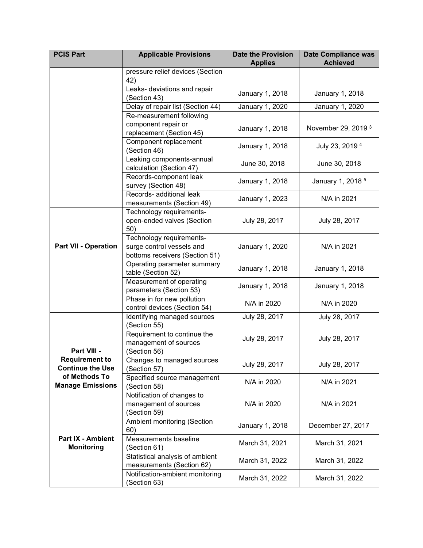| <b>PCIS Part</b>                                 | <b>Applicable Provisions</b>                                                            | <b>Date the Provision</b><br><b>Applies</b> | <b>Date Compliance was</b><br><b>Achieved</b> |
|--------------------------------------------------|-----------------------------------------------------------------------------------------|---------------------------------------------|-----------------------------------------------|
|                                                  | pressure relief devices (Section<br>42)                                                 |                                             |                                               |
|                                                  | Leaks- deviations and repair<br>(Section 43)                                            | January 1, 2018                             | January 1, 2018                               |
|                                                  | Delay of repair list (Section 44)                                                       | January 1, 2020                             | January 1, 2020                               |
|                                                  | Re-measurement following                                                                |                                             |                                               |
|                                                  | component repair or<br>replacement (Section 45)                                         | January 1, 2018                             | November 29, 2019 <sup>3</sup>                |
|                                                  | Component replacement<br>(Section 46)                                                   | January 1, 2018                             | July 23, 2019 <sup>4</sup>                    |
|                                                  | Leaking components-annual<br>calculation (Section 47)                                   | June 30, 2018                               | June 30, 2018                                 |
|                                                  | Records-component leak<br>survey (Section 48)                                           | January 1, 2018                             | January 1, 2018 <sup>5</sup>                  |
|                                                  | Records- additional leak<br>measurements (Section 49)                                   | January 1, 2023                             | N/A in 2021                                   |
|                                                  | Technology requirements-<br>open-ended valves (Section<br>50)                           | July 28, 2017                               | July 28, 2017                                 |
| <b>Part VII - Operation</b>                      | Technology requirements-<br>surge control vessels and<br>bottoms receivers (Section 51) | January 1, 2020                             | N/A in 2021                                   |
|                                                  | Operating parameter summary<br>table (Section 52)                                       | January 1, 2018                             | January 1, 2018                               |
|                                                  | Measurement of operating<br>parameters (Section 53)                                     | January 1, 2018                             | January 1, 2018                               |
|                                                  | Phase in for new pollution<br>control devices (Section 54)                              | N/A in 2020                                 | N/A in 2020                                   |
|                                                  | Identifying managed sources<br>(Section 55)                                             | July 28, 2017                               | July 28, 2017                                 |
| Part VIII -                                      | Requirement to continue the<br>management of sources<br>(Section 56)                    | July 28, 2017                               | July 28, 2017                                 |
| <b>Requirement to</b><br><b>Continue the Use</b> | Changes to managed sources<br>(Section 57)                                              | July 28, 2017                               | July 28, 2017                                 |
| of Methods To<br><b>Manage Emissions</b>         | Specified source management<br>(Section 58)                                             | N/A in 2020                                 | N/A in 2021                                   |
|                                                  | Notification of changes to<br>management of sources<br>(Section 59)                     | N/A in 2020                                 | N/A in 2021                                   |
|                                                  | Ambient monitoring (Section<br>60)                                                      | January 1, 2018                             | December 27, 2017                             |
| <b>Part IX - Ambient</b><br><b>Monitoring</b>    | Measurements baseline<br>(Section 61)                                                   | March 31, 2021                              | March 31, 2021                                |
|                                                  | Statistical analysis of ambient<br>measurements (Section 62)                            | March 31, 2022                              | March 31, 2022                                |
|                                                  | Notification-ambient monitoring<br>(Section 63)                                         | March 31, 2022                              | March 31, 2022                                |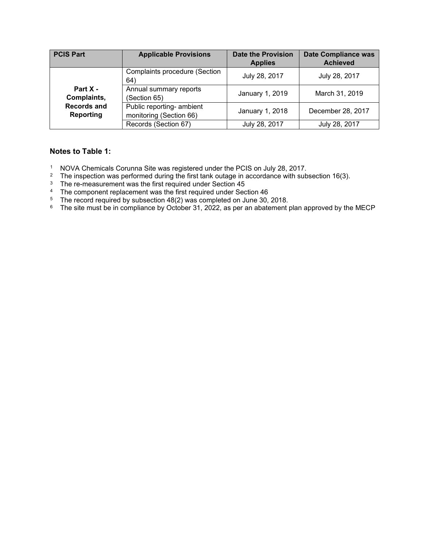| <b>PCIS Part</b>                | <b>Applicable Provisions</b>                         | <b>Date the Provision</b><br><b>Applies</b> | <b>Date Compliance was</b><br><b>Achieved</b> |
|---------------------------------|------------------------------------------------------|---------------------------------------------|-----------------------------------------------|
|                                 | <b>Complaints procedure (Section</b><br>64)          | July 28, 2017                               | July 28, 2017                                 |
| Part X -<br>Complaints,         | Annual summary reports<br>(Section 65)               | January 1, 2019                             | March 31, 2019                                |
| <b>Records and</b><br>Reporting | Public reporting- ambient<br>monitoring (Section 66) | January 1, 2018                             | December 28, 2017                             |
|                                 | Records (Section 67)                                 | July 28, 2017                               | July 28, 2017                                 |

#### **Notes to Table 1:**

- <sup>1</sup> NOVA Chemicals Corunna Site was registered under the PCIS on July 28, 2017.
- <sup>2</sup> The inspection was performed during the first tank outage in accordance with subsection 16(3).
- $^3$  The re-measurement was the first required under Section 45
- $4$  The component replacement was the first required under Section 46
- <sup>5</sup> The record required by subsection 48(2) was completed on June 30, 2018.
- <sup>6</sup> The site must be in compliance by October 31, 2022, as per an abatement plan approved by the MECP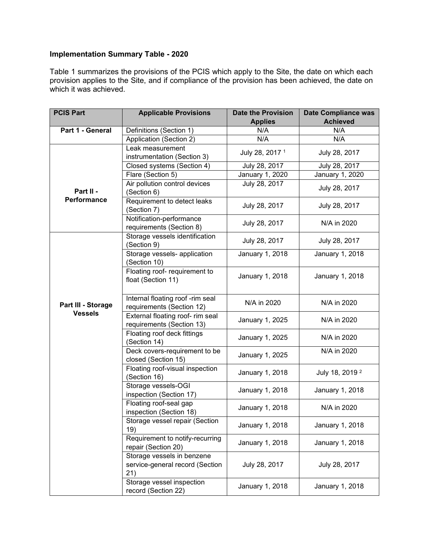Table 1 summarizes the provisions of the PCIS which apply to the Site, the date on which each provision applies to the Site, and if compliance of the provision has been achieved, the date on which it was achieved.

| <b>PCIS Part</b>   | <b>Applicable Provisions</b>                    | <b>Date the Provision</b>  | <b>Date Compliance was</b> |
|--------------------|-------------------------------------------------|----------------------------|----------------------------|
|                    |                                                 | <b>Applies</b>             | <b>Achieved</b>            |
| Part 1 - General   | Definitions (Section 1)                         | N/A                        | N/A                        |
|                    | Application (Section 2)                         | N/A                        | N/A                        |
|                    | Leak measurement                                | July 28, 2017 <sup>1</sup> | July 28, 2017              |
|                    | instrumentation (Section 3)                     |                            |                            |
|                    | Closed systems (Section 4)                      | July 28, 2017              | July 28, 2017              |
|                    | Flare (Section 5)                               | January 1, 2020            | January 1, 2020            |
|                    | Air pollution control devices                   | July 28, 2017              | July 28, 2017              |
| Part II -          | (Section 6)                                     |                            |                            |
| Performance        | Requirement to detect leaks                     | July 28, 2017              | July 28, 2017              |
|                    | (Section 7)                                     |                            |                            |
|                    | Notification-performance                        | July 28, 2017              | N/A in 2020                |
|                    | requirements (Section 8)                        |                            |                            |
|                    | Storage vessels identification                  | July 28, 2017              | July 28, 2017              |
|                    | (Section 9)                                     |                            |                            |
|                    | Storage vessels- application                    | January 1, 2018            | January 1, 2018            |
|                    | (Section 10)                                    |                            |                            |
|                    | Floating roof- requirement to                   | January 1, 2018            | January 1, 2018            |
|                    | float (Section 11)                              |                            |                            |
|                    |                                                 |                            |                            |
| Part III - Storage | Internal floating roof -rim seal                | N/A in 2020                | N/A in 2020                |
| <b>Vessels</b>     | requirements (Section 12)                       |                            |                            |
|                    | External floating roof- rim seal                | January 1, 2025            | N/A in 2020                |
|                    | requirements (Section 13)                       |                            |                            |
|                    | Floating roof deck fittings                     | January 1, 2025            | N/A in 2020                |
|                    | (Section 14)                                    |                            | N/A in 2020                |
|                    | Deck covers-requirement to be                   | January 1, 2025            |                            |
|                    | closed (Section 15)                             |                            |                            |
|                    | Floating roof-visual inspection<br>(Section 16) | January 1, 2018            | July 18, 2019 <sup>2</sup> |
|                    | Storage vessels-OGI                             |                            |                            |
|                    | inspection (Section 17)                         | January 1, 2018            | January 1, 2018            |
|                    | Floating roof-seal gap                          |                            |                            |
|                    | inspection (Section 18)                         | January 1, 2018            | N/A in 2020                |
|                    | Storage vessel repair (Section                  |                            |                            |
|                    | 19)                                             | January 1, 2018            | January 1, 2018            |
|                    | Requirement to notify-recurring                 |                            |                            |
|                    | repair (Section 20)                             | January 1, 2018            | January 1, 2018            |
|                    | Storage vessels in benzene                      |                            |                            |
|                    | service-general record (Section                 | July 28, 2017              | July 28, 2017              |
|                    | 21)                                             |                            |                            |
|                    | Storage vessel inspection                       |                            |                            |
|                    | record (Section 22)                             | January 1, 2018            | January 1, 2018            |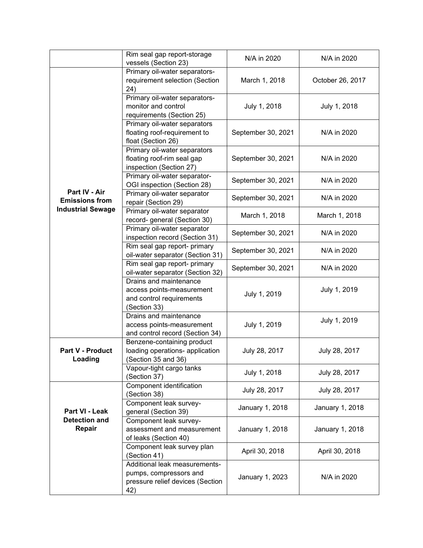|                                                                    | Rim seal gap report-storage<br>vessels (Section 23)                                                | N/A in 2020        | N/A in 2020      |
|--------------------------------------------------------------------|----------------------------------------------------------------------------------------------------|--------------------|------------------|
|                                                                    | Primary oil-water separators-<br>requirement selection (Section<br>24)                             | March 1, 2018      | October 26, 2017 |
|                                                                    | Primary oil-water separators-<br>monitor and control<br>requirements (Section 25)                  | July 1, 2018       | July 1, 2018     |
|                                                                    | Primary oil-water separators<br>floating roof-requirement to<br>float (Section 26)                 | September 30, 2021 | N/A in 2020      |
|                                                                    | Primary oil-water separators<br>floating roof-rim seal gap<br>inspection (Section 27)              | September 30, 2021 | N/A in 2020      |
|                                                                    | Primary oil-water separator-<br>OGI inspection (Section 28)                                        | September 30, 2021 | N/A in 2020      |
| Part IV - Air<br><b>Emissions from</b><br><b>Industrial Sewage</b> | Primary oil-water separator<br>repair (Section 29)                                                 | September 30, 2021 | N/A in 2020      |
|                                                                    | Primary oil-water separator<br>record- general (Section 30)                                        | March 1, 2018      | March 1, 2018    |
|                                                                    | Primary oil-water separator<br>inspection record (Section 31)                                      | September 30, 2021 | N/A in 2020      |
|                                                                    | Rim seal gap report- primary<br>oil-water separator (Section 31)                                   | September 30, 2021 | N/A in 2020      |
|                                                                    | Rim seal gap report- primary<br>oil-water separator (Section 32)                                   | September 30, 2021 | N/A in 2020      |
|                                                                    | Drains and maintenance<br>access points-measurement<br>and control requirements<br>(Section 33)    | July 1, 2019       | July 1, 2019     |
|                                                                    | Drains and maintenance<br>access points-measurement<br>and control record (Section 34)             | July 1, 2019       | July 1, 2019     |
| Part V - Product<br>Loading                                        | Benzene-containing product<br>loading operations- application<br>(Section 35 and 36)               | July 28, 2017      | July 28, 2017    |
|                                                                    | Vapour-tight cargo tanks<br>(Section 37)                                                           | July 1, 2018       | July 28, 2017    |
|                                                                    | Component identification<br>(Section 38)                                                           | July 28, 2017      | July 28, 2017    |
| Part VI - Leak<br><b>Detection and</b><br>Repair                   | Component leak survey-<br>general (Section 39)                                                     | January 1, 2018    | January 1, 2018  |
|                                                                    | Component leak survey-<br>assessment and measurement<br>of leaks (Section 40)                      | January 1, 2018    | January 1, 2018  |
|                                                                    | Component leak survey plan<br>(Section 41)                                                         | April 30, 2018     | April 30, 2018   |
|                                                                    | Additional leak measurements-<br>pumps, compressors and<br>pressure relief devices (Section<br>42) | January 1, 2023    | N/A in 2020      |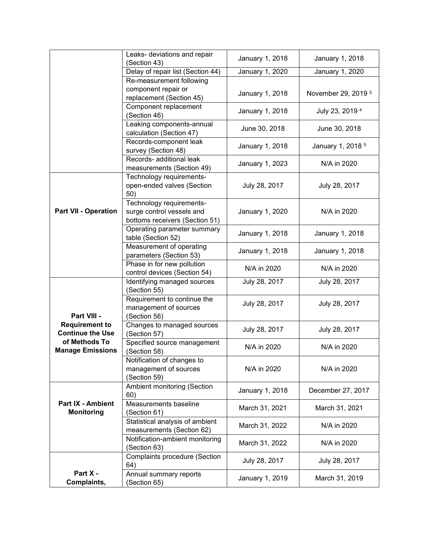|                                                  | Leaks- deviations and repair<br>(Section 43)                                            | January 1, 2018 | January 1, 2018                |
|--------------------------------------------------|-----------------------------------------------------------------------------------------|-----------------|--------------------------------|
|                                                  | Delay of repair list (Section 44)                                                       | January 1, 2020 | January 1, 2020                |
|                                                  | Re-measurement following                                                                |                 |                                |
|                                                  | component repair or<br>replacement (Section 45)                                         | January 1, 2018 | November 29, 2019 <sup>3</sup> |
|                                                  | Component replacement<br>(Section 46)                                                   | January 1, 2018 | July 23, 2019 <sup>4</sup>     |
|                                                  | Leaking components-annual<br>calculation (Section 47)                                   | June 30, 2018   | June 30, 2018                  |
|                                                  | Records-component leak<br>survey (Section 48)                                           | January 1, 2018 | January 1, 2018 <sup>5</sup>   |
|                                                  | Records- additional leak<br>measurements (Section 49)                                   | January 1, 2023 | N/A in 2020                    |
|                                                  | Technology requirements-<br>open-ended valves (Section<br>50)                           | July 28, 2017   | July 28, 2017                  |
| <b>Part VII - Operation</b>                      | Technology requirements-<br>surge control vessels and<br>bottoms receivers (Section 51) | January 1, 2020 | N/A in 2020                    |
|                                                  | Operating parameter summary<br>table (Section 52)                                       | January 1, 2018 | January 1, 2018                |
|                                                  | Measurement of operating<br>parameters (Section 53)                                     | January 1, 2018 | January 1, 2018                |
|                                                  | Phase in for new pollution<br>control devices (Section 54)                              | N/A in 2020     | N/A in 2020                    |
|                                                  | Identifying managed sources<br>(Section 55)                                             | July 28, 2017   | July 28, 2017                  |
| Part VIII -                                      | Requirement to continue the<br>management of sources<br>(Section 56)                    | July 28, 2017   | July 28, 2017                  |
| <b>Requirement to</b><br><b>Continue the Use</b> | Changes to managed sources<br>(Section 57)                                              | July 28, 2017   | July 28, 2017                  |
| of Methods To<br><b>Manage Emissions</b>         | Specified source management<br>(Section 58)                                             | N/A in 2020     | N/A in 2020                    |
|                                                  | Notification of changes to<br>management of sources<br>(Section 59)                     | N/A in 2020     | N/A in 2020                    |
|                                                  | Ambient monitoring (Section<br>60)                                                      | January 1, 2018 | December 27, 2017              |
| <b>Part IX - Ambient</b><br><b>Monitoring</b>    | Measurements baseline<br>(Section 61)                                                   | March 31, 2021  | March 31, 2021                 |
|                                                  | Statistical analysis of ambient<br>measurements (Section 62)                            | March 31, 2022  | N/A in 2020                    |
|                                                  | Notification-ambient monitoring<br>(Section 63)                                         | March 31, 2022  | N/A in 2020                    |
|                                                  | <b>Complaints procedure (Section</b><br>64)                                             | July 28, 2017   | July 28, 2017                  |
| Part X -<br>Complaints,                          | Annual summary reports<br>(Section 65)                                                  | January 1, 2019 | March 31, 2019                 |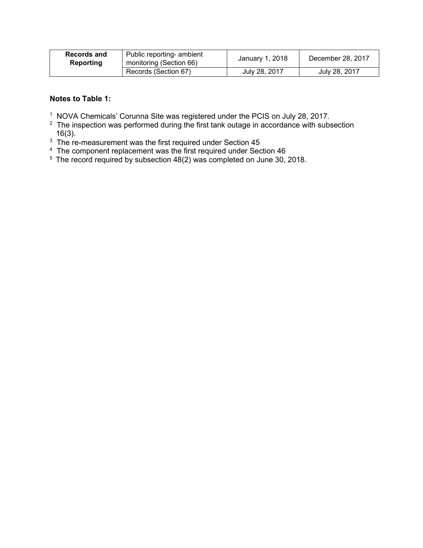| Records and<br>Reporting | Public reporting- ambient<br>monitoring (Section 66) | January 1, 2018 | December 28, 2017 |
|--------------------------|------------------------------------------------------|-----------------|-------------------|
|                          | Records (Section 67)                                 | July 28, 2017   | July 28, 2017     |

#### **Notes to Table 1:**

- 
- <sup>1</sup> NOVA Chemicals' Corunna Site was registered under the PCIS on July 28, 2017.<br><sup>2</sup> The inspection was performed during the first tank outage in accordance with subsection 16(3).
- 
- $^3$  The re-measurement was the first required under Section 45<br><sup>4</sup> The component replacement was the first required under Section 46
- $5$  The record required by subsection 48(2) was completed on June 30, 2018.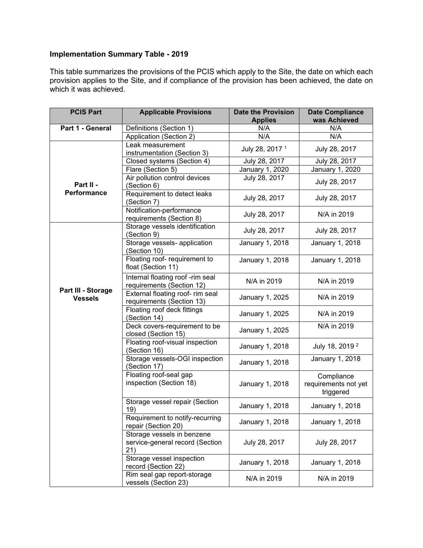This table summarizes the provisions of the PCIS which apply to the Site, the date on which each provision applies to the Site, and if compliance of the provision has been achieved, the date on which it was achieved.

| <b>PCIS Part</b>                     | <b>Applicable Provisions</b>                                         | <b>Date the Provision</b><br><b>Applies</b> | <b>Date Compliance</b><br>was Achieved          |
|--------------------------------------|----------------------------------------------------------------------|---------------------------------------------|-------------------------------------------------|
| Part 1 - General                     | Definitions (Section 1)                                              | N/A                                         | N/A                                             |
|                                      | Application (Section 2)                                              | N/A                                         | N/A                                             |
|                                      | Leak measurement<br>instrumentation (Section 3)                      | July 28, 2017 <sup>1</sup>                  | July 28, 2017                                   |
|                                      | Closed systems (Section 4)                                           | July 28, 2017                               | July 28, 2017                                   |
|                                      | Flare (Section 5)                                                    | January 1, 2020                             | January 1, 2020                                 |
| Part II -                            | Air pollution control devices<br>(Section 6)                         | July 28, 2017                               | July 28, 2017                                   |
| Performance                          | Requirement to detect leaks<br>(Section 7)                           | July 28, 2017                               | July 28, 2017                                   |
|                                      | Notification-performance<br>requirements (Section 8)                 | July 28, 2017                               | N/A in 2019                                     |
|                                      | Storage vessels identification<br>(Section 9)                        | July 28, 2017                               | July 28, 2017                                   |
|                                      | Storage vessels- application<br>(Section 10)                         | January 1, 2018                             | <b>January 1, 2018</b>                          |
|                                      | Floating roof- requirement to<br>float (Section 11)                  | January 1, 2018                             | January 1, 2018                                 |
|                                      | Internal floating roof -rim seal<br>requirements (Section 12)        | N/A in 2019                                 | N/A in 2019                                     |
| Part III - Storage<br><b>Vessels</b> | External floating roof- rim seal<br>requirements (Section 13)        | January 1, 2025                             | N/A in 2019                                     |
|                                      | Floating roof deck fittings<br>(Section 14)                          | January 1, 2025                             | N/A in 2019                                     |
|                                      | Deck covers-requirement to be<br>closed (Section 15)                 | January 1, 2025                             | N/A in 2019                                     |
|                                      | Floating roof-visual inspection<br>(Section 16)                      | January 1, 2018                             | July 18, 2019 <sup>2</sup>                      |
|                                      | Storage vessels-OGI inspection<br>(Section 17)                       | January 1, 2018                             | January 1, 2018                                 |
|                                      | Floating roof-seal gap<br>inspection (Section 18)                    | January 1, 2018                             | Compliance<br>requirements not yet<br>triggered |
|                                      | Storage vessel repair (Section<br>19)                                | January 1, 2018                             | January 1, 2018                                 |
|                                      | Requirement to notify-recurring<br>repair (Section 20)               | January 1, 2018                             | January 1, 2018                                 |
|                                      | Storage vessels in benzene<br>service-general record (Section<br>21) | July 28, 2017                               | July 28, 2017                                   |
|                                      | Storage vessel inspection<br>record (Section 22)                     | January 1, 2018                             | January 1, 2018                                 |
|                                      | Rim seal gap report-storage<br>vessels (Section 23)                  | N/A in 2019                                 | N/A in 2019                                     |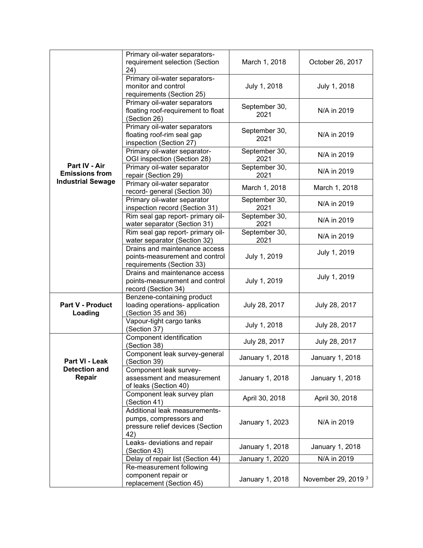|                                        | Primary oil-water separators-<br>requirement selection (Section<br>24)                             | March 1, 2018         | October 26, 2017               |
|----------------------------------------|----------------------------------------------------------------------------------------------------|-----------------------|--------------------------------|
|                                        | Primary oil-water separators-<br>monitor and control<br>requirements (Section 25)                  | July 1, 2018          | July 1, 2018                   |
|                                        | Primary oil-water separators<br>floating roof-requirement to float<br>(Section 26)                 | September 30,<br>2021 | N/A in 2019                    |
|                                        | Primary oil-water separators<br>floating roof-rim seal gap<br>inspection (Section 27)              | September 30,<br>2021 | N/A in 2019                    |
|                                        | Primary oil-water separator-<br>OGI inspection (Section 28)                                        | September 30,<br>2021 | N/A in 2019                    |
| Part IV - Air<br><b>Emissions from</b> | Primary oil-water separator<br>repair (Section 29)                                                 | September 30,<br>2021 | N/A in 2019                    |
| <b>Industrial Sewage</b>               | Primary oil-water separator<br>record- general (Section 30)                                        | March 1, 2018         | March 1, 2018                  |
|                                        | Primary oil-water separator<br>inspection record (Section 31)                                      | September 30,<br>2021 | N/A in 2019                    |
|                                        | Rim seal gap report- primary oil-<br>water separator (Section 31)                                  | September 30,<br>2021 | N/A in 2019                    |
|                                        | Rim seal gap report- primary oil-<br>water separator (Section 32)                                  | September 30,<br>2021 | N/A in 2019                    |
|                                        | Drains and maintenance access<br>points-measurement and control<br>requirements (Section 33)       | July 1, 2019          | July 1, 2019                   |
|                                        | Drains and maintenance access<br>points-measurement and control<br>record (Section 34)             | July 1, 2019          | July 1, 2019                   |
| Part V - Product<br>Loading            | Benzene-containing product<br>loading operations- application<br>(Section 35 and 36)               | July 28, 2017         | July 28, 2017                  |
|                                        | Vapour-tight cargo tanks<br>(Section 37)                                                           | July 1, 2018          | July 28, 2017                  |
|                                        | Component identification<br>(Section 38)                                                           | July 28, 2017         | July 28, 2017                  |
| Part VI - Leak                         | Component leak survey-general<br>(Section 39)                                                      | January 1, 2018       | January 1, 2018                |
| <b>Detection and</b><br>Repair         | Component leak survey-<br>assessment and measurement<br>of leaks (Section 40)                      | January 1, 2018       | January 1, 2018                |
|                                        | Component leak survey plan<br>(Section 41)                                                         | April 30, 2018        | April 30, 2018                 |
|                                        | Additional leak measurements-<br>pumps, compressors and<br>pressure relief devices (Section<br>42) | January 1, 2023       | N/A in 2019                    |
|                                        | Leaks- deviations and repair<br>(Section 43)                                                       | January 1, 2018       | January 1, 2018                |
|                                        | Delay of repair list (Section 44)                                                                  | January 1, 2020       | N/A in 2019                    |
|                                        | Re-measurement following<br>component repair or<br>replacement (Section 45)                        | January 1, 2018       | November 29, 2019 <sup>3</sup> |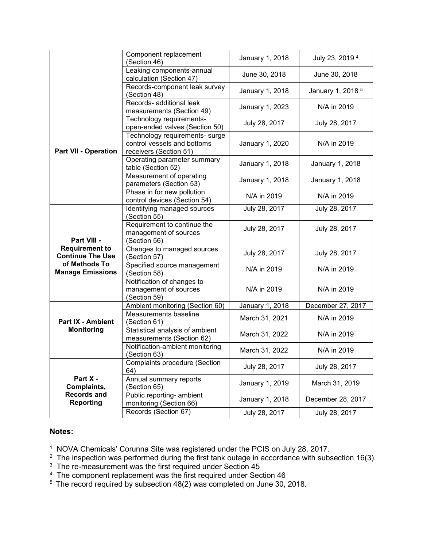|                                                  | Component replacement<br>(Section 46)                                                   | January 1, 2018 | July 23, 2019 4              |
|--------------------------------------------------|-----------------------------------------------------------------------------------------|-----------------|------------------------------|
|                                                  | Leaking components-annual<br>calculation (Section 47)                                   | June 30, 2018   | June 30, 2018                |
|                                                  | Records-component leak survey<br>(Section 48)                                           | January 1, 2018 | January 1, 2018 <sup>5</sup> |
|                                                  | Records- additional leak<br>measurements (Section 49)                                   | January 1, 2023 | N/A in 2019                  |
|                                                  | Technology requirements-<br>open-ended valves (Section 50)                              | July 28, 2017   | July 28, 2017                |
| <b>Part VII - Operation</b>                      | Technology requirements- surge<br>control vessels and bottoms<br>receivers (Section 51) | January 1, 2020 | N/A in 2019                  |
|                                                  | Operating parameter summary<br>table (Section 52)                                       | January 1, 2018 | January 1, 2018              |
|                                                  | Measurement of operating<br>parameters (Section 53)                                     | January 1, 2018 | January 1, 2018              |
|                                                  | Phase in for new pollution<br>control devices (Section 54)                              | N/A in 2019     | N/A in 2019                  |
|                                                  | Identifying managed sources<br>(Section 55)                                             | July 28, 2017   | July 28, 2017                |
| Part VIII -                                      | Requirement to continue the<br>management of sources<br>(Section 56)                    | July 28, 2017   | July 28, 2017                |
| <b>Requirement to</b><br><b>Continue The Use</b> | Changes to managed sources<br>(Section 57)                                              | July 28, 2017   | July 28, 2017                |
| of Methods To<br><b>Manage Emissions</b>         | Specified source management<br>(Section 58)                                             | N/A in 2019     | N/A in 2019                  |
|                                                  | Notification of changes to<br>management of sources<br>(Section 59)                     | N/A in 2019     | N/A in 2019                  |
|                                                  | Ambient monitoring (Section 60)                                                         | January 1, 2018 | December 27, 2017            |
| <b>Part IX - Ambient</b>                         | Measurements baseline<br>(Section 61)                                                   | March 31, 2021  | N/A in 2019                  |
| <b>Monitoring</b>                                | Statistical analysis of ambient<br>measurements (Section 62)                            | March 31, 2022  | N/A in 2019                  |
|                                                  | Notification-ambient monitoring<br>(Section 63)                                         | March 31, 2022  | N/A in 2019                  |
|                                                  | <b>Complaints procedure (Section</b><br>64)                                             | July 28, 2017   | July 28, 2017                |
| Part X -<br>Complaints,                          | Annual summary reports<br>(Section 65)                                                  | January 1, 2019 | March 31, 2019               |
| <b>Records and</b><br><b>Reporting</b>           | Public reporting- ambient<br>monitoring (Section 66)                                    | January 1, 2018 | December 28, 2017            |
|                                                  | Records (Section 67)                                                                    | July 28, 2017   | July 28, 2017                |

#### **Notes:**

<sup>1</sup> NOVA Chemicals' Corunna Site was registered under the PCIS on July 28, 2017.<br><sup>2</sup> The inspection was performed during the first tank outage in accordance with subsection 16(3).<br><sup>3</sup> The re-measurement was the first re

 $^4\,$  The component replacement was the first required under Section 46

 $5$  The record required by subsection 48(2) was completed on June 30, 2018.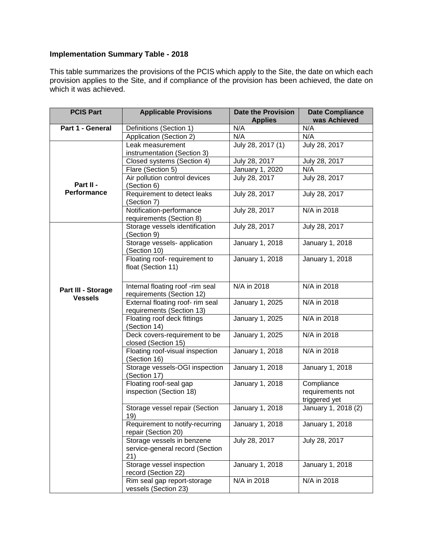This table summarizes the provisions of the PCIS which apply to the Site, the date on which each provision applies to the Site, and if compliance of the provision has been achieved, the date on which it was achieved.

| <b>PCIS Part</b>                     | <b>Applicable Provisions</b>                                         | <b>Date the Provision</b><br><b>Applies</b> | <b>Date Compliance</b><br>was Achieved          |
|--------------------------------------|----------------------------------------------------------------------|---------------------------------------------|-------------------------------------------------|
| Part 1 - General                     | Definitions (Section 1)                                              | N/A                                         | N/A                                             |
|                                      | Application (Section 2)                                              | N/A                                         | N/A                                             |
|                                      | Leak measurement<br>instrumentation (Section 3)                      | July 28, 2017 (1)                           | July 28, 2017                                   |
|                                      | Closed systems (Section 4)                                           | July 28, 2017                               | July 28, 2017                                   |
|                                      | Flare (Section 5)                                                    | January 1, 2020                             | N/A                                             |
| Part II -                            | Air pollution control devices<br>(Section 6)                         | July 28, 2017                               | July 28, 2017                                   |
| Performance                          | Requirement to detect leaks<br>(Section 7)                           | July 28, 2017                               | July 28, 2017                                   |
|                                      | Notification-performance<br>requirements (Section 8)                 | July 28, 2017                               | N/A in 2018                                     |
|                                      | Storage vessels identification<br>(Section 9)                        | July 28, 2017                               | July 28, 2017                                   |
|                                      | Storage vessels- application<br>(Section 10)                         | January 1, 2018                             | January 1, 2018                                 |
|                                      | Floating roof- requirement to<br>float (Section 11)                  | January 1, 2018                             | January 1, 2018                                 |
| Part III - Storage<br><b>Vessels</b> | Internal floating roof -rim seal<br>requirements (Section 12)        | N/A in 2018                                 | N/A in 2018                                     |
|                                      | External floating roof- rim seal<br>requirements (Section 13)        | January 1, 2025                             | N/A in 2018                                     |
|                                      | Floating roof deck fittings<br>(Section 14)                          | January 1, 2025                             | N/A in 2018                                     |
|                                      | Deck covers-requirement to be<br>closed (Section 15)                 | January 1, 2025                             | N/A in 2018                                     |
|                                      | Floating roof-visual inspection<br>(Section 16)                      | January 1, 2018                             | N/A in 2018                                     |
|                                      | Storage vessels-OGI inspection<br>(Section 17)                       | January 1, 2018                             | January 1, 2018                                 |
|                                      | Floating roof-seal gap<br>inspection (Section 18)                    | January 1, 2018                             | Compliance<br>requirements not<br>triggered yet |
|                                      | Storage vessel repair (Section<br>19)                                | January 1, 2018                             | January 1, 2018 (2)                             |
|                                      | Requirement to notify-recurring<br>repair (Section 20)               | January 1, 2018                             | January 1, 2018                                 |
|                                      | Storage vessels in benzene<br>service-general record (Section<br>21) | July 28, 2017                               | July 28, 2017                                   |
|                                      | Storage vessel inspection<br>record (Section 22)                     | January 1, 2018                             | January 1, 2018                                 |
|                                      | Rim seal gap report-storage<br>vessels (Section 23)                  | N/A in 2018                                 | N/A in 2018                                     |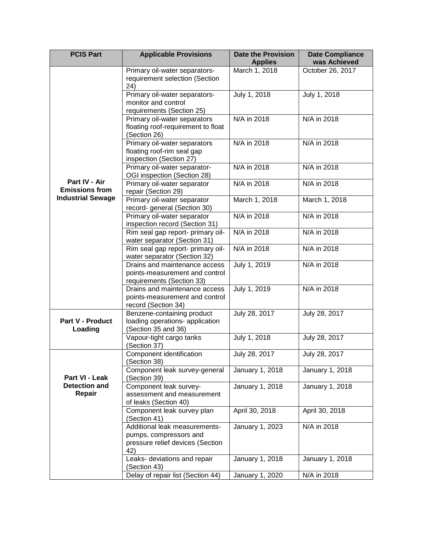| <b>PCIS Part</b>                                                   | <b>Applicable Provisions</b>                                                                       | <b>Date the Provision</b><br><b>Applies</b> | <b>Date Compliance</b><br>was Achieved |
|--------------------------------------------------------------------|----------------------------------------------------------------------------------------------------|---------------------------------------------|----------------------------------------|
| Part IV - Air<br><b>Emissions from</b><br><b>Industrial Sewage</b> | Primary oil-water separators-<br>requirement selection (Section<br>24)                             | March 1, 2018                               | October 26, 2017                       |
|                                                                    | Primary oil-water separators-<br>monitor and control<br>requirements (Section 25)                  | July 1, 2018                                | July 1, 2018                           |
|                                                                    | Primary oil-water separators<br>floating roof-requirement to float<br>(Section 26)                 | N/A in 2018                                 | N/A in 2018                            |
|                                                                    | Primary oil-water separators<br>floating roof-rim seal gap<br>inspection (Section 27)              | N/A in 2018                                 | N/A in 2018                            |
|                                                                    | Primary oil-water separator-<br>OGI inspection (Section 28)                                        | N/A in 2018                                 | N/A in 2018                            |
|                                                                    | Primary oil-water separator<br>repair (Section 29)                                                 | N/A in 2018                                 | N/A in 2018                            |
|                                                                    | Primary oil-water separator<br>record- general (Section 30)                                        | March 1, 2018                               | March 1, 2018                          |
|                                                                    | Primary oil-water separator<br>inspection record (Section 31)                                      | N/A in 2018                                 | N/A in 2018                            |
|                                                                    | Rim seal gap report- primary oil-<br>water separator (Section 31)                                  | N/A in 2018                                 | N/A in 2018                            |
|                                                                    | Rim seal gap report- primary oil-<br>water separator (Section 32)                                  | N/A in 2018                                 | N/A in 2018                            |
|                                                                    | Drains and maintenance access<br>points-measurement and control<br>requirements (Section 33)       | July 1, 2019                                | N/A in 2018                            |
|                                                                    | Drains and maintenance access<br>points-measurement and control<br>record (Section 34)             | July 1, 2019                                | N/A in 2018                            |
| <b>Part V - Product</b><br>Loading                                 | Benzene-containing product<br>loading operations- application<br>(Section 35 and 36)               | July 28, 2017                               | July 28, 2017                          |
|                                                                    | Vapour-tight cargo tanks<br>(Section 37)                                                           | July 1, 2018                                | July 28, 2017                          |
| Part VI - Leak<br><b>Detection and</b><br>Repair                   | Component identification<br>(Section 38)                                                           | July 28, 2017                               | July 28, 2017                          |
|                                                                    | Component leak survey-general<br>(Section 39)                                                      | January 1, 2018                             | January 1, 2018                        |
|                                                                    | Component leak survey-<br>assessment and measurement<br>of leaks (Section 40)                      | January 1, 2018                             | January 1, 2018                        |
|                                                                    | Component leak survey plan<br>(Section 41)                                                         | April 30, 2018                              | April 30, 2018                         |
|                                                                    | Additional leak measurements-<br>pumps, compressors and<br>pressure relief devices (Section<br>42) | January 1, 2023                             | N/A in 2018                            |
|                                                                    | Leaks- deviations and repair<br>(Section 43)                                                       | January 1, 2018                             | January 1, 2018                        |
|                                                                    | Delay of repair list (Section 44)                                                                  | January 1, 2020                             | N/A in 2018                            |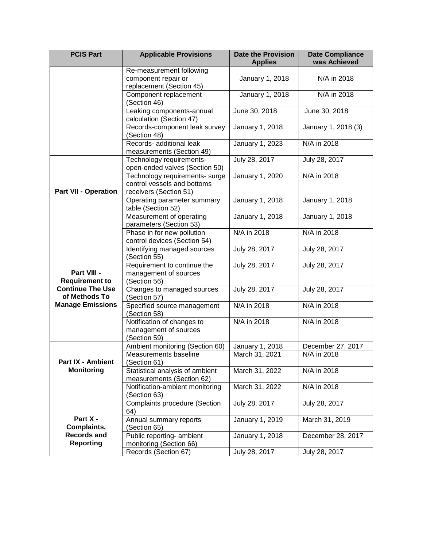| <b>PCIS Part</b>                                                                                            | <b>Applicable Provisions</b>                                                            | <b>Date the Provision</b><br><b>Applies</b> | <b>Date Compliance</b><br>was Achieved |
|-------------------------------------------------------------------------------------------------------------|-----------------------------------------------------------------------------------------|---------------------------------------------|----------------------------------------|
|                                                                                                             | Re-measurement following<br>component repair or<br>replacement (Section 45)             | January 1, 2018                             | N/A in 2018                            |
|                                                                                                             | Component replacement<br>(Section 46)                                                   | January 1, 2018                             | N/A in 2018                            |
|                                                                                                             | Leaking components-annual<br>calculation (Section 47)                                   | June 30, 2018                               | June 30, 2018                          |
|                                                                                                             | Records-component leak survey<br>(Section 48)                                           | January 1, 2018                             | January 1, 2018 (3)                    |
|                                                                                                             | Records- additional leak<br>measurements (Section 49)                                   | January 1, 2023                             | N/A in 2018                            |
| <b>Part VII - Operation</b>                                                                                 | Technology requirements-<br>open-ended valves (Section 50)                              | July 28, 2017                               | July 28, 2017                          |
|                                                                                                             | Technology requirements- surge<br>control vessels and bottoms<br>receivers (Section 51) | January 1, 2020                             | N/A in 2018                            |
|                                                                                                             | Operating parameter summary<br>table (Section 52)                                       | January 1, 2018                             | January 1, 2018                        |
|                                                                                                             | Measurement of operating<br>parameters (Section 53)                                     | January 1, 2018                             | January 1, 2018                        |
|                                                                                                             | Phase in for new pollution<br>control devices (Section 54)                              | N/A in 2018                                 | N/A in 2018                            |
| Part VIII -<br><b>Requirement to</b><br><b>Continue The Use</b><br>of Methods To<br><b>Manage Emissions</b> | Identifying managed sources<br>(Section 55)                                             | July 28, 2017                               | July 28, 2017                          |
|                                                                                                             | Requirement to continue the<br>management of sources<br>(Section 56)                    | July 28, 2017                               | July 28, 2017                          |
|                                                                                                             | Changes to managed sources<br>(Section 57)                                              | July 28, 2017                               | July 28, 2017                          |
|                                                                                                             | Specified source management<br>(Section 58)                                             | N/A in 2018                                 | N/A in 2018                            |
|                                                                                                             | Notification of changes to<br>management of sources<br>(Section 59)                     | N/A in 2018                                 | N/A in 2018                            |
| Part IX - Ambient<br><b>Monitoring</b>                                                                      | Ambient monitoring (Section 60)                                                         | January 1, 2018                             | December 27, 2017                      |
|                                                                                                             | Measurements baseline<br>(Section 61)                                                   | March 31, 2021                              | N/A in 2018                            |
|                                                                                                             | Statistical analysis of ambient<br>measurements (Section 62)                            | March 31, 2022                              | N/A in 2018                            |
|                                                                                                             | Notification-ambient monitoring<br>(Section 63)                                         | March 31, 2022                              | N/A in 2018                            |
|                                                                                                             | <b>Complaints procedure (Section</b><br>64)                                             | July 28, 2017                               | July 28, 2017                          |
| Part X -<br>Complaints,                                                                                     | Annual summary reports<br>(Section 65)                                                  | January 1, 2019                             | March 31, 2019                         |
| <b>Records and</b><br><b>Reporting</b>                                                                      | Public reporting- ambient<br>monitoring (Section 66)                                    | January 1, 2018                             | December 28, 2017                      |
|                                                                                                             | Records (Section 67)                                                                    | July 28, 2017                               | July 28, 2017                          |